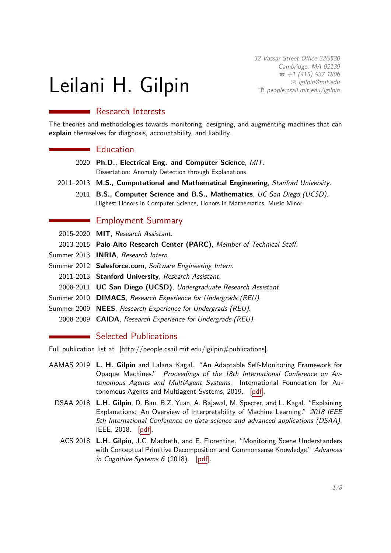# Leilani H. Gilpin

32 Vassar Street Office 32G530 Cambridge, MA 02139  $\bar{a}$  [+1 \(415\) 937 1806](tel:+14159371806) B [lgilpin@mit.edu](mailto:lgilpin@mit.edu)  $\hat{p}$  [people.csail.mit.edu/lgilpin](http://people.csail.mit.edu/lgilpin)

# **Research Interests**

The theories and methodologies towards monitoring, designing, and augmenting machines that can **explain** themselves for diagnosis, accountability, and liability.

## **Education**

- 2020 **Ph.D., Electrical Eng. and Computer Science**, MIT. Dissertation: Anomaly Detection through Explanations
- 2011–2013 **M.S., Computational and Mathematical Engineering**, Stanford University.
	- 2011 **B.S., Computer Science and B.S., Mathematics**, UC San Diego (UCSD). Highest Honors in Computer Science, Honors in Mathematics, Music Minor

# **Employment Summary**

- 2015-2020 **MIT**, Research Assistant.
- 2013-2015 **Palo Alto Research Center (PARC)**, Member of Technical Staff.
- Summer 2013 **INRIA**, Research Intern.
- Summer 2012 **Salesforce.com**, Software Engineering Intern.
	- 2011-2013 **Stanford University**, Research Assistant.
	- 2008-2011 **UC San Diego (UCSD)**, Undergraduate Research Assistant.
- Summer 2010 **DIMACS**, Research Experience for Undergrads (REU).
- Summer 2009 **NEES**, Research Experience for Undergrads (REU).
- 2008-2009 **CAIDA**, Research Experience for Undergrads (REU).

## Selected Publications

Full publication list at [\[http://people.csail.mit.edu/lgilpin#publications\].](http://people.csail.mit.edu/lgilpin#publications)

- AAMAS 2019 **L. H. Gilpin** and Lalana Kagal. "An Adaptable Self-Monitoring Framework for Opaque Machines." Proceedings of the 18th International Conference on Autonomous Agents and MultiAgent Systems. International Foundation for Autonomous Agents and Multiagent Systems, 2019. [\[pdf\].](http://www.ifaamas.org/Proceedings/aamas2019/pdfs/p1982.pdf)
	- DSAA 2018 **L.H. Gilpin**, D. Bau, B.Z. Yuan, A. Bajawal, M. Specter, and L. Kagal. "Explaining Explanations: An Overview of Interpretability of Machine Learning." 2018 IEEE 5th International Conference on data science and advanced applications (DSAA). IEEE, 2018. [\[pdf\].](https://ieeexplore.ieee.org/abstract/document/8631448)
		- ACS 2018 **L.H. Gilpin**, J.C. Macbeth, and E. Florentine. "Monitoring Scene Understanders with Conceptual Primitive Decomposition and Commonsense Knowledge." Advances in Cognitive Systems 6 (2018). [\[pdf\].](http://www.cogsys.org/papers/ACSvol6/papers/paper-6-5.pdf)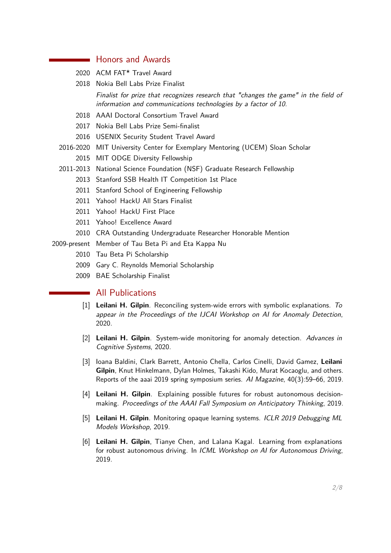## Honors and Awards

- 2020 ACM FAT\* Travel Award
- 2018 Nokia Bell Labs Prize Finalist

Finalist for prize that recognizes research that "changes the game" in the field of information and communications technologies by a factor of 10.

- 2018 AAAI Doctoral Consortium Travel Award
- 2017 Nokia Bell Labs Prize Semi-finalist
- 2016 USENIX Security Student Travel Award
- 2016-2020 MIT University Center for Exemplary Mentoring (UCEM) Sloan Scholar 2015 MIT ODGE Diversity Fellowship
- 2011-2013 National Science Foundation (NSF) Graduate Research Fellowship
	- 2013 Stanford SSB Health IT Competition 1st Place
	- 2011 Stanford School of Engineering Fellowship
	- 2011 Yahoo! HackU All Stars Finalist
	- 2011 Yahoo! HackU First Place
	- 2011 Yahoo! Excellence Award
	- 2010 CRA Outstanding Undergraduate Researcher Honorable Mention

2009-present Member of Tau Beta Pi and Eta Kappa Nu

- 2010 Tau Beta Pi Scholarship
- 2009 Gary C. Reynolds Memorial Scholarship
- 2009 BAE Scholarship Finalist

## **All Publications**

- [1] **Leilani H. Gilpin**. Reconciling system-wide errors with symbolic explanations. To appear in the Proceedings of the IJCAI Workshop on AI for Anomaly Detection, 2020.
- [2] **Leilani H. Gilpin**. System-wide monitoring for anomaly detection. Advances in Cognitive Systems, 2020.
- [3] Ioana Baldini, Clark Barrett, Antonio Chella, Carlos Cinelli, David Gamez, **Leilani Gilpin**, Knut Hinkelmann, Dylan Holmes, Takashi Kido, Murat Kocaoglu, and others. Reports of the aaai 2019 spring symposium series. AI Magazine, 40(3):59–66, 2019.
- [4] **Leilani H. Gilpin**. Explaining possible futures for robust autonomous decisionmaking. Proceedings of the AAAI Fall Symposium on Anticipatory Thinking, 2019.
- [5] **Leilani H. Gilpin**. Monitoring opaque learning systems. ICLR 2019 Debugging ML Models Workshop, 2019.
- <span id="page-1-0"></span>[6] **Leilani H. Gilpin**, Tianye Chen, and Lalana Kagal. Learning from explanations for robust autonomous driving. In ICML Workshop on AI for Autonomous Driving, 2019.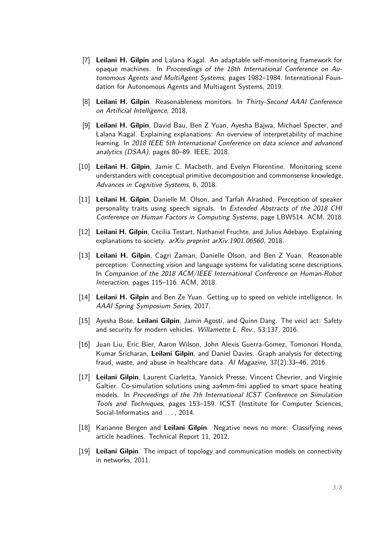- [7] **Leilani H. Gilpin** and Lalana Kagal. An adaptable self-monitoring framework for opaque machines. In Proceedings of the 18th International Conference on Autonomous Agents and MultiAgent Systems, pages 1982–1984. International Foundation for Autonomous Agents and Multiagent Systems, 2019.
- [8] **Leilani H. Gilpin**. Reasonableness monitors. In Thirty-Second AAAI Conference on Artificial Intelligence, 2018.
- [9] **Leilani H. Gilpin**, David Bau, Ben Z Yuan, Ayesha Bajwa, Michael Specter, and Lalana Kagal. Explaining explanations: An overview of interpretability of machine learning. In 2018 IEEE 5th International Conference on data science and advanced analytics (DSAA), pages 80–89. IEEE, 2018.
- <span id="page-2-1"></span>[10] **Leilani H. Gilpin**, Jamie C. Macbeth, and Evelyn Florentine. Monitoring scene understanders with conceptual primitive decomposition and commonsense knowledge. Advances in Cognitive Systems, 6, 2018.
- [11] **Leilani H. Gilpin**, Danielle M. Olson, and Tarfah Alrashed. Perception of speaker personality traits using speech signals. In Extended Abstracts of the 2018 CHI Conference on Human Factors in Computing Systems, page LBW514. ACM, 2018.
- [12] **Leilani H. Gilpin**, Cecilia Testart, Nathaniel Fruchte, and Julius Adebayo. Explaining explanations to society. arXiv preprint arXiv:1901.06560, 2018.
- [13] **Leilani H. Gilpin**, Cagri Zaman, Danielle Olson, and Ben Z Yuan. Reasonable perception: Connecting vision and language systems for validating scene descriptions. In Companion of the 2018 ACM/IEEE International Conference on Human-Robot Interaction, pages 115–116. ACM, 2018.
- [14] **Leilani H. Gilpin** and Ben Ze Yuan. Getting up to speed on vehicle intelligence. In AAAI Spring Symposium Series, 2017.
- [15] Ayesha Bose, **Leilani Gilpin**, Jamin Agosti, and Quinn Dang. The veicl act: Safety and security for modern vehicles. Willamette L. Rev., 53:137, 2016.
- [16] Juan Liu, Eric Bier, Aaron Wilson, John Alexis Guerra-Gomez, Tomonori Honda, Kumar Sricharan, **Leilani Gilpin**, and Daniel Davies. Graph analysis for detecting fraud, waste, and abuse in healthcare data. AI Magazine, 37(2):33–46, 2016.
- <span id="page-2-0"></span>[17] **Leilani Gilpin**, Laurent Ciarletta, Yannick Presse, Vincent Chevrier, and Virginie Galtier. Co-simulation solutions using aa4mm-fmi applied to smart space heating models. In Proceedings of the 7th International ICST Conference on Simulation Tools and Techniques, pages 153–159. ICST (Institute for Computer Sciences, Social-Informatics and ..., 2014.
- [18] Karianne Bergen and **Leilani Gilpin**. Negative news no more: Classifying news article headlines. Technical Report 11, 2012.
- [19] **Leilani Gilpin**. The impact of topology and communication models on connectivity in networks, 2011.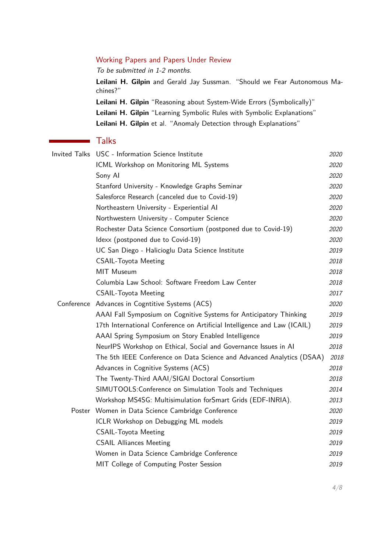#### Working Papers and Papers Under Review

To be submitted in 1-2 months.

**Leilani H. Gilpin** and Gerald Jay Sussman. "Should we Fear Autonomous Machines?"

**Leilani H. Gilpin** "Reasoning about System-Wide Errors (Symbolically)"

**Leilani H. Gilpin** "Learning Symbolic Rules with Symbolic Explanations"

**Leilani H. Gilpin** et al. "Anomaly Detection through Explanations"

# Talks

|  | Invited Talks USC - Information Science Institute                        | 2020        |
|--|--------------------------------------------------------------------------|-------------|
|  | ICML Workshop on Monitoring ML Systems                                   | 2020        |
|  | Sony Al                                                                  | 2020        |
|  | Stanford University - Knowledge Graphs Seminar                           | 2020        |
|  | Salesforce Research (canceled due to Covid-19)                           | 2020        |
|  | Northeastern University - Experiential Al                                | <i>2020</i> |
|  | Northwestern University - Computer Science                               | 2020        |
|  | Rochester Data Science Consortium (postponed due to Covid-19)            | 2020        |
|  | Idexx (postponed due to Covid-19)                                        | 2020        |
|  | UC San Diego - Halicioglu Data Science Institute                         | 2019        |
|  | <b>CSAIL-Toyota Meeting</b>                                              | 2018        |
|  | MIT Museum                                                               | 2018        |
|  | Columbia Law School: Software Freedom Law Center                         | 2018        |
|  | <b>CSAIL-Toyota Meeting</b>                                              | 2017        |
|  | Conference Advances in Cogntitive Systems (ACS)                          | 2020        |
|  | AAAI Fall Symposium on Cognitive Systems for Anticipatory Thinking       | 2019        |
|  | 17th International Conference on Artificial Intelligence and Law (ICAIL) | 2019        |
|  | AAAI Spring Symposium on Story Enabled Intelligence                      | 2019        |
|  | NeurIPS Workshop on Ethical, Social and Governance Issues in AI          | 2018        |
|  | The 5th IEEE Conference on Data Science and Advanced Analytics (DSAA)    | 2018        |
|  | Advances in Cognitive Systems (ACS)                                      | 2018        |
|  | The Twenty-Third AAAI/SIGAI Doctoral Consortium                          | 2018        |
|  | SIMUTOOLS: Conference on Simulation Tools and Techniques                 | 2014        |
|  | Workshop MS4SG: Multisimulation forSmart Grids (EDF-INRIA).              | 2013        |
|  | Poster Women in Data Science Cambridge Conference                        | 2020        |
|  | ICLR Workshop on Debugging ML models                                     | 2019        |
|  | <b>CSAIL-Toyota Meeting</b>                                              | 2019        |
|  | <b>CSAIL Alliances Meeting</b>                                           | 2019        |
|  | Women in Data Science Cambridge Conference                               | 2019        |
|  | MIT College of Computing Poster Session                                  | 2019        |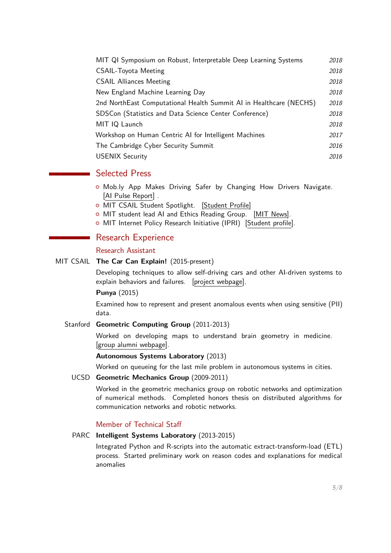| MIT QI Symposium on Robust, Interpretable Deep Learning Systems    | 2018 |
|--------------------------------------------------------------------|------|
| <b>CSAIL-Toyota Meeting</b>                                        | 2018 |
| <b>CSAIL Alliances Meeting</b>                                     | 2018 |
| New England Machine Learning Day                                   | 2018 |
| 2nd NorthEast Computational Health Summit AI in Healthcare (NECHS) | 2018 |
| SDSCon (Statistics and Data Science Center Conference)             | 2018 |
| MIT IQ Launch                                                      | 2018 |
| Workshop on Human Centric AI for Intelligent Machines              | 2017 |
| The Cambridge Cyber Security Summit                                | 2016 |
| <b>USENIX Security</b>                                             | 2016 |

# Selected Press

- { Mob.ly App Makes Driving Safer by Changing How Drivers Navigate. [\[AI Pulse Report\]](https://aipulse.org/mob-ly-app-makes-driving-safer-by-changing-how-drivers-navigate/) .
- o MIT CSAIL Student Spotlight. [\[Student Profile\]](https://cap.csail.mit.edu/engage/spotlights/leilani-gilpin)
- o MIT student lead AI and Ethics Reading Group. [\[MIT News\].](http://news.mit.edu/2018/mit-student-group-explores-artificial-intelligence-ethics-1127)
- o MIT Internet Policy Research Initiative (IPRI) [\[Student profile\].](https://internetpolicy.mit.edu/student-profile-leilani-gilpin/)

# Research Experience

## Research Assistant

## MIT CSAIL **The Car Can Explain!** (2015-present)

Developing techniques to allow self-driving cars and other AI-driven systems to explain behaviors and failures. [\[project webpage\].](https://www.csail.mit.edu/research/car-can-explain)

## **Punya** (2015)

Examined how to represent and present anomalous events when using sensitive (PII) data.

## Stanford **Geometric Computing Group** (2011-2013)

Worked on developing maps to understand brain geometry in medicine. [\[group alumni webpage\].](https://geometry.stanford.edu/member/lgilpin/)

## **Autonomous Systems Laboratory** (2013)

Worked on queueing for the last mile problem in autonomous systems in cities.

UCSD **Geometric Mechanics Group** (2009-2011)

Worked in the geometric mechanics group on robotic networks and optimization of numerical methods. Completed honors thesis on distributed algorithms for communication networks and robotic networks.

## Member of Technical Staff

## PARC **Intelligent Systems Laboratory** (2013-2015)

Integrated Python and R-scripts into the automatic extract-transform-load (ETL) process. Started preliminary work on reason codes and explanations for medical anomalies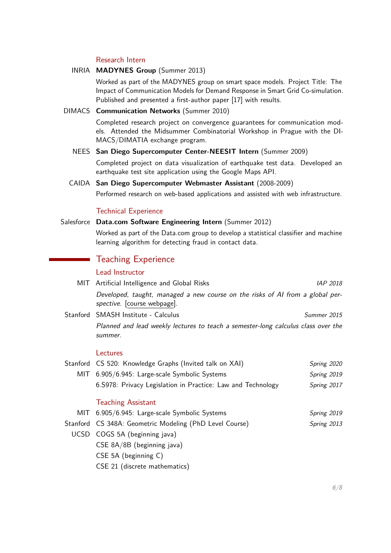#### Research Intern

#### INRIA **MADYNES Group** (Summer 2013)

Worked as part of the MADYNES group on smart space models. Project Title: The Impact of Communication Models for Demand Response in Smart Grid Co-simulation. Published and presented a first-author paper [\[17\]](#page-2-0) with results.

#### DIMACS **Communication Networks** (Summer 2010)

Completed research project on convergence guarantees for communication models. Attended the Midsummer Combinatorial Workshop in Prague with the DI-MACS/DIMATIA exchange program.

#### NEES **San Diego Supercomputer Center-NEESIT Intern** (Summer 2009)

Completed project on data visualization of earthquake test data. Developed an earthquake test site application using the Google Maps API.

#### CAIDA **San Diego Supercomputer Webmaster Assistant** (2008-2009)

Performed research on web-based applications and assisted with web infrastructure.

#### Technical Experience

#### Salesforce **Data.com Software Engineering Intern** (Summer 2012)

Worked as part of the Data.com group to develop a statistical classifier and machine learning algorithm for detecting fraud in contact data.

# Teaching Experience

## Lead Instructor

| MIT Artificial Intelligence and Global Risks                                                                 | <i>IAP 2018</i> |
|--------------------------------------------------------------------------------------------------------------|-----------------|
| Developed, taught, managed a new course on the risks of AI from a global per-<br>spective. [course webpage]. |                 |
| Stanford SMASH Institute - Calculus                                                                          | Summer 2015     |
| Planned and lead weekly lectures to teach a semester-long calculus class over the<br>summer.                 |                 |
| Lectures                                                                                                     |                 |
| Stanford CS 520: Knowledge Graphs (Invited talk on XAI)                                                      | Spring 2020     |
| MIT 6.905/6.945: Large-scale Symbolic Systems                                                                | Spring 2019     |
| 6. S978: Privacy Legislation in Practice: Law and Technology                                                 | Spring 2017     |
| <b>Teaching Assistant</b>                                                                                    |                 |
| MIT 6.905/6.945: Large-scale Symbolic Systems                                                                | Spring 2019     |
| Stanford CS 348A: Geometric Modeling (PhD Level Course)                                                      | Spring 2013     |

- UCSD COGS 5A (beginning java)
	- CSE 8A/8B (beginning java)
	- CSE 5A (beginning C)
	- CSE 21 (discrete mathematics)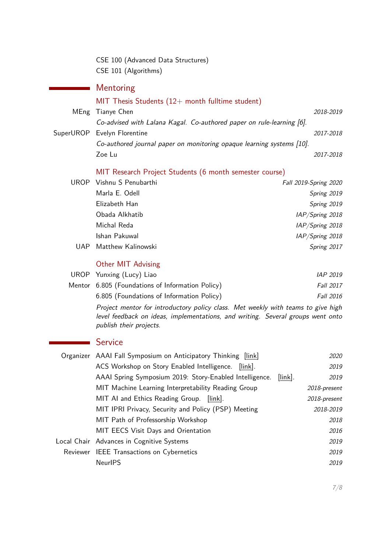CSE 100 (Advanced Data Structures) CSE 101 (Algorithms)

# Mentoring

# MIT Thesis Students  $(12+$  month fulltime student) MEng Tianye Chen 2018-2019 Co-advised with Lalana Kagal. Co-authored paper on rule-learning [\[6\]](#page-1-0).

SuperUROP Evelyn Florentine 2017-2018 Co-authored journal paper on monitoring opaque learning systems [\[10\]](#page-2-1). Zoe Lu 2017-2018

## MIT Research Project Students (6 month semester course)

|      | UROP Vishnu S Penubarthi | Fall 2019-Spring 2020 |
|------|--------------------------|-----------------------|
|      | Marla E. Odell           | Spring 2019           |
|      | Elizabeth Han            | Spring 2019           |
|      | Obada Alkhatib           | IAP/Spring 2018       |
|      | Michal Reda              | IAP/Spring 2018       |
|      | Ishan Pakuwal            | IAP/Spring 2018       |
| UAP. | Matthew Kalinowski       | Spring 2017           |

## Other MIT Advising

| UROP Yunxing (Lucy) Liao                         | IAP 2019         |
|--------------------------------------------------|------------------|
| Mentor 6.805 (Foundations of Information Policy) | <b>Fall 2017</b> |
| 6.805 (Foundations of Information Policy)        | <b>Fall 2016</b> |

Project mentor for introductory policy class. Met weekly with teams to give high level feedback on ideas, implementations, and writing. Several groups went onto publish their projects.

# **Service**

|                                    | Organizer AAAI Fall Symposium on Anticipatory Thinking [link] |            | 2020         |
|------------------------------------|---------------------------------------------------------------|------------|--------------|
|                                    | ACS Workshop on Story Enabled Intelligence.<br>$[link]$ .     |            | 2019         |
|                                    | AAAI Spring Symposium 2019: Story-Enabled Intelligence.       | $[link]$ . | 2019         |
|                                    | MIT Machine Learning Interpretability Reading Group           |            | 2018-present |
|                                    | MIT AI and Ethics Reading Group. [link].                      |            | 2018-present |
|                                    | MIT IPRI Privacy, Security and Policy (PSP) Meeting           |            | 2018-2019    |
| MIT Path of Professorship Workshop |                                                               |            | 2018         |
|                                    | MIT EECS Visit Days and Orientation                           |            | 2016         |
|                                    | Local Chair Advances in Cognitive Systems                     |            | 2019         |
|                                    | Reviewer IEEE Transactions on Cybernetics                     |            | 2019         |
|                                    | <b>NeurIPS</b>                                                |            | 2019         |